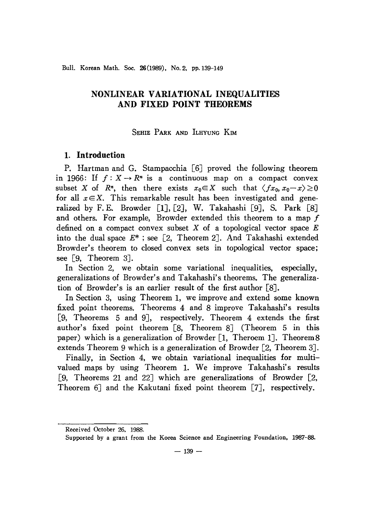Bull. Korean Math. Soc. 26(1989), No. 2, pp.139-149

# **NONLINEAR VARIATIONAL INEQUALITIES AND FIXED POINT THEOREMS**

## SEHIE PARK AND ILHYUNG KIM

# **1. Introduction**

P. Hartman and G. Stampacchia [6] proved the following theorem in 1966: If  $f: X \to \mathbb{R}^n$  is a continuous map on a compact convex subset X of  $R^n$ , then there exists  $x_0 \in X$  such that  $\langle fx_0, x_0 - x \rangle \ge 0$ for all  $x \in X$ . This remarkable result has been investigated and generalized by F.E. Browder [1], [2], W. Takahashi [9], S. Park [8] and others. For example, Browder extended this theorem to a map  $f$ defined on a compact convex subset X of a topological vector space *E* into the dual space *E\** ; see [2, Theorem 2J. And Takahashi extended Browder's theorem to closed convex sets in topological vector space; see [9, Theorem 3J.

In Section 2, we obtain some variational inequalities, especially, generalizations of Browder's and Takahashi's theorems. The generalization of Browder's is an earlier result of the first author [BJ.

In Section 3, using Theorem 1, we improve and extend some known fixed point theorems. Theorems 4 and *B* improve Takahashi's results [9, Theorems 5 and 9J, respectively. Theorem 4 extends the first author's fixed point theorem [B, Theorem BJ (Theorem 5 in this paper) which is a generalization of Browder  $\lceil 1, \text{ Theorem 1} \rceil$ . Theorem 8 extends Theorem 9 which is a generalization of Browder [2, Theorem 3J.

Finally, in Section 4, we obtain variational inequalities for multivalued maps by using Theorem 1. We improve Takahashi's results [9, Theorems 21 and 22] which are generalizations of Browder [2, Theorem 6J and the Kakutani fixed point theorem [7J, respectively.

Received October 26. 1988.

Supported by a grant from the Korea Science and Engineering Foundation, 1987-88.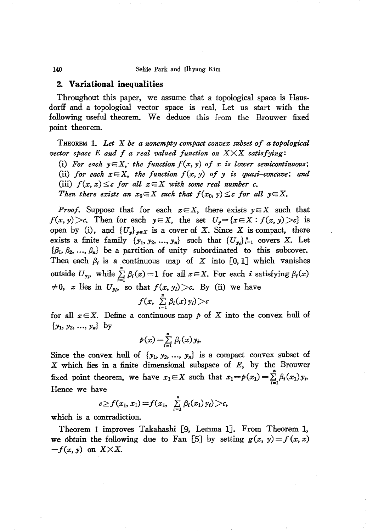140 Sehie Park and Ilhyung Kim

## **2. Variational inequalities**

Throughout this paper, we assume that a topological space is Hausdorff and a topological vector space is real. Let us start with the following useful theorem. We deduce this from the Brouwer fixed point theorem.

THEOREM 1. *Let* X *be a nonempty compact convex subset of a topological vector space*  $E$  *and*  $f$  *a real valued function on*  $X \times X$  *satisfying*:

(i) For each  $y \in X$ , the function  $f(x, y)$  of x is lower semicontinuous; (ii) *for each*  $x \in X$ , *the function*  $f(x, y)$  *of y is quasi-concave*; *and* (iii)  $f(x, x) \leq c$  *for all*  $x \in X$  *with some real number c*.

*Then there exists an*  $x_0 \in X$  *such that*  $f(x_0, y) \leq c$  *for all*  $y \in X$ .

*Proof.* Suppose that for each  $x \in X$ , there exists  $y \in X$  such that  $f(x, y) > c$ . Then for each  $y \in X$ , the set  $U_y = \{x \in X : f(x, y) > c\}$  is open by (i), and  $\{U_y\}_{y \in X}$  is a cover of X. Since X is compact, there exists a finite family  $\{y_1, y_2, ..., y_n\}$  such that  $\{U_{y_i}\}_{i=1}^n$  covers X. Let  ${\lbrace \beta_1, \beta_2, ..., \beta_n \rbrace}$  be a partition of unity subordinated to this subcover. Then each  $\beta_i$  is a continuous map of X into  $[0,1]$  which vanishes outside  $U_{\mathbf{y}_i}$ , while  $\sum_{i=1}^n \beta_i(x) = 1$  for all  $x \in X$ . For each *i* satisfying  $\beta_i(x)$  $\neq 0$ , *x* lies in  $U_{y_i}$ , so that  $f(x, y_i) > c$ . By (ii) we have  $f(x, \sum_{i=1}^n \beta_i(x)y_i) > c$ 

for all  $x \in X$ . Define a continuous map p of X into the convex hull of *{Yh Y2,* ..., *Yn}* by

$$
p(x) = \sum_{i=1}^n \beta_i(x) y_i.
$$

Since the convex hull of  $\{y_1, y_2, ..., y_n\}$  is a compact convex subset of  $X$  which lies in a finite dimensional subspace of  $E$ , by the Brouwer fixed point theorem, we have  $x_1 \in X$  such that  $x_1 = p(x_1) = \sum_{i=1}^{n} \beta_i(x_1)y_i$ . Hence we have

$$
c \geq f(x_1, x_1) = f(x_1, \sum_{i=1}^n \beta_i(x_1) y_i) > c,
$$

which is a contradiction.

Theorem 1 improves Takahashi [9, Lemma 1]. From Theorem 1, we obtain the following due to Fan [5] by setting  $g(x, y) = f(x, x)$  $-f(x, y)$  on  $X \times X$ .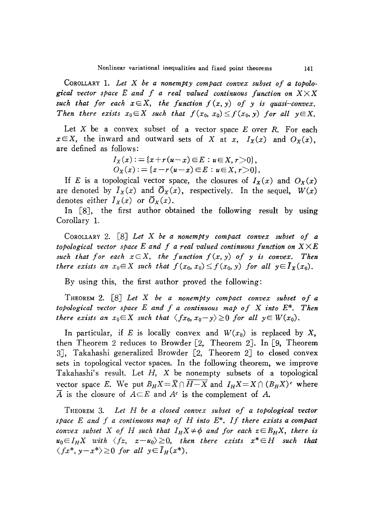COROLLARY 1. *Let* X *be a nonempty compact convex subset of a topolo* $gical vector space E and f a real valued continuous function on  $X \times X$$ such that for each  $x \in X$ , the function  $f(x, y)$  of y is quasi-convex. *Then there exists*  $x_0 \in X$  *such that*  $f(x_0, x_0) \le f(x_0, y)$  *for all*  $y \in X$ .

Let X be a convex subset of a vector space *E* over *R*. For each  $x \in X$ , the inward and outward sets of X at *x*,  $I_X(x)$  and  $O_X(x)$ , are defined as follows:

$$
I_X(x) := \{x + r(u-x) \in E : u \in X, r > 0\},\,
$$
  
\n
$$
O_X(x) := \{x - r(u-x) \in E : u \in X, r > 0\}.
$$

If *E* is a topological vector space, the closures of  $I_X(x)$  and  $O_X(x)$ are denoted by  $\bar{I}_X(x)$  and  $\bar{O}_X(x)$ , respectively. In the sequel,  $W(x)$ denotes either  $\bar{I}_X(x)$  or  $\bar{O}_X(x)$ .

In  $[8]$ , the first author obtained the following result by using Corollary 1.

COROLLARY 2. [8J *Let* X *be a nonempty compact convex subset of a topological vector space E and f a real valued continuous function on XXE* such that for each  $x \in X$ , the function  $f(x, y)$  of y is convex. Then *there exists an*  $x_0 \in X$  *such that*  $f(x_0, x_0) \leq f(x_0, y)$  *for all*  $y \in \overline{I}_X(x_0)$ .

By using this, the first author proved the following:

THEOREM 2. [8J *Let* X *be a nonempty compact convex subset of a topological vector space <sup>E</sup> and f a continuous map of* <sup>X</sup> *into E\*. Then there exists an*  $x_0 \in X$  *such that*  $\langle fx_0, x_0 - y \rangle \ge 0$  *for all*  $y \in W(x_0)$ .

In particular, if *E* is locally convex and  $W(x_0)$  is replaced by X, then Theorem 2 reduces to Browder [2, Theorem 2J. In [9, Theorem 3J, Takahashi generalized Browder [2, Theorem 2J to closed convex sets in topological vector spaces. In the following theorem, we improve Takahashi's result. Let  $H$ ,  $X$  be nonempty subsets of a topological vector space *E*. We put  $B_H X = \overline{X} \cap \overline{H-X}$  and  $I_H X = X \cap (B_H X)^c$  where  $\overline{A}$  is the closure of  $A \subseteq E$  and  $A^c$  is the complement of A.

THEOREM 3. *Let H be a closed convex subset of a topological vector space <sup>E</sup> and f a continuous map of <sup>H</sup> into E\*. If there exists <sup>a</sup> compact convex subset X of H such that*  $I_H X \neq \phi$  *and for each*  $z \in B_H X$ , *there is*  $u_0 \in I_H X$  with  $\langle fx, x-u_0 \rangle \geq 0$ , then there exists  $x^* \in H$  such that  $\langle fx^*, y-x^* \rangle \ge 0$  *for all*  $y \in I_H(x^*).$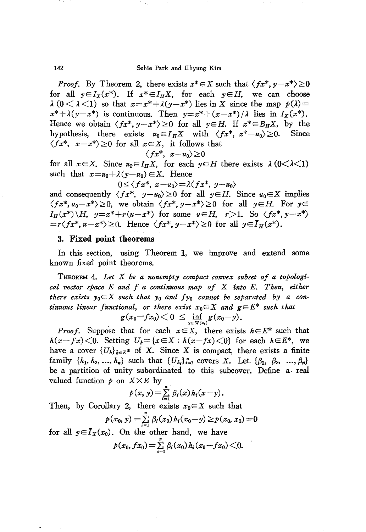142 Sehie Park and Ilhyung Kim

*Proof.* By Theorem 2, there exists  $x^* \in X$  such that  $\langle fx^*, y - x^* \rangle \ge 0$ for all  $y \in I_X(x^*)$ . If  $x^* \in I_H X$ , for each  $y \in H$ , we can choose  $\lambda$  (0 <  $\lambda$  <1) so that  $x=x^*+\lambda(y-x^*)$  lies in X since the map  $p(\lambda)$  =  $x^*+\lambda(y-x^*)$  is continuous. Then  $y=x^*+(x-x^*)/\lambda$  lies in  $I_x(x^*)$ . Hence we obtain  $\langle fx^*, y-x^* \rangle \ge 0$  for all  $y \in H$ . If  $x^* \in B_HX$ , by the hypothesis, there exists  $u_0 \in I_HX$  with  $\langle fx^*, x^* - u_0 \rangle > 0$ . Since hypothesis, there exists  $u_0 \in I_H X$  with  $\langle fx^*, x^* - u_0 \rangle \ge 0$ .  $\langle fx^*, x-x^* \rangle \ge 0$  for all  $x \in X$ , it follows that

$$
\langle fx^*, x - u_0 \rangle \ge 0
$$

for all  $x \in X$ . Since  $u_0 \in I_H X$ , for each  $y \in H$  there exists  $\lambda$  ( $0 \lt \lambda \lt 1$ ) such that  $x=u_0+\lambda(y-u_0)\in X$ . Hence

$$
0\leq\langle fx^*, x-u_0\rangle=\lambda\langle fx^*, y-u_0\rangle
$$

and consequently  $\langle fx^*, y-u_0 \rangle \ge 0$  for all  $y \in H$ . Since  $u_0 \in X$  implies  $\langle fx^*, u_0-x^* \rangle \geq 0$ , we obtain  $\langle fx^*, y-x^* \rangle \geq 0$  for all  $y \in H$ . For  $y \in$ *I<sub>H</sub>*(*x*<sup>\*</sup>) *\H, y*=*x*<sup>\*</sup>+*r*(*u-x*<sup>\*</sup>) for some *u*∈*H, r*>1. So  $\langle fx^*, y-x^* \rangle$  $=r\langle fx^*, u-x^*\rangle \geq 0$ . Hence  $\langle fx^*, y-x^*\rangle \geq 0$  for all  $y \in I_H(x^*)$ .

## 3. **Fixed point theorems**

In this section, using Theorem 1, we improve and extend some known fixed point theorems.

THEOREM 4. *Let* X *be a nonempty compact convex subset of a topological vector space E and f a continuous map of* X *into E. Then, either there exists*  $y_0 \in X$  *such that*  $y_0$  *and*  $fy_0$  *cannot be separated by a continuous linear functional, or there exist*  $x_0 \in X$  *and*  $g \in E^*$  *such that*  $g(x_0 - fx_0) < 0 \le \inf_{x \in X} g(x_0 - y)$ .

$$
f(x_0-fx_0)<0\leq \inf_{y\in W(x_0)}g(x_0-y).
$$

*Proof.* Suppose that for each  $x \in X$ , there exists  $h \in E^*$  such that  $h(x-fx) \leq 0$ . Setting  $U_h = \{x \in X : h(x-fx) \leq 0\}$  for each  $h \in E^*$ , we have a cover  ${U_k}_{k \in E^*}$  of X. Since X is compact, there exists a finite family  $\{h_1, h_2, ..., h_n\}$  such that  $\{U_{h_i}\}_{i=1}^n$  covers X. Let  $\{\beta_1, \beta_2, ..., \beta_n\}$ be a partition of unity subordinated to this subcover. Define a real valued function  $p$  on  $X \times E$  by

$$
p(x, y) = \sum_{i=1}^{n} \beta_i(x) h_i(x-y).
$$

Then, by Corollary 2, there exists  $x_0 \in X$  such that

$$
p(x_0, y) = \sum_{i=1}^n \beta_i(x_0) h_i(x_0 - y) \geq p(x_0, x_0) = 0
$$

for all  $y \in I_X(x_0)$ . On the other hand, we have

$$
p(x_0, fx_0) = \sum_{i=1}^n \beta_i(x_0) h_i(x_0 - fx_0) \leq 0.
$$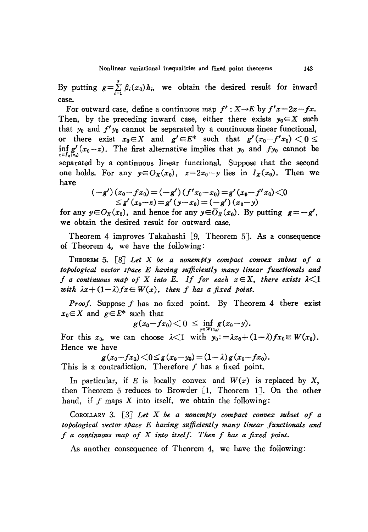By putting  $g = \sum_{i=1}^{n} \beta_i(x_0) h_i$ , we obtain the desired result for inward case.

For outward case, define a continuous map  $f': X \rightarrow E$  by  $f'x = 2x - fx$ . Then, by the preceding inward case, either there exists  $y_0 \in X$  such that  $y_0$  and  $f'y_0$  cannot be separated by a continuous linear functional, or there exist  $x_0 \in X$  and  $g' \in E^*$  such that  $g'(x_0 - f'x_0) < 0 \le$ inf  $g'(x_0-z)$ . The first alternative implies that  $y_0$  and  $fy_0$  cannot be separated by a continuous linear functional. Suppose that the second one holds. For any  $y \in O_X(x_0)$ ,  $z=2x_0-y$  lies in  $I_X(x_0)$ . Then we have

$$
(-g') (x_0-fx_0) = (-g') (f'x_0-x_0) = g'(x_0-f'x_0) < 0
$$
  
  $\leq g'(x_0-x) = g'(y-x_0) = (-g') (x_0-y)$ 

for any  $y \in O_X(x_0)$ , and hence for any  $y \in \overline{O}_X(x_0)$ . By putting  $g = -g'$ , we obtain the desired result for outward case.

Theorem 4 improves Takahashi [9, Theorem 5]. As a consequence of Theorem 4, we have the following:

THEOREM 5. [8J *Let* X *be a nonempty compact convex subset of a topological vector space E having sufficiently many linear functionals and f* a continuous map of X into E. If for each  $x \in X$ , there exists  $\lambda \leq 1$ *with*  $\lambda x + (1 - \lambda) f x \in W(x)$ , then *f* has a fixed point.

*Proof.* Suppose *f* has no fixed point. By Theorem 4 there exist  $x_0 \in X$  and  $g \in E^*$  such that

$$
g(x_0-fx_0)<0\leq \inf_{y\in W(x_0)}g(x_0-y).
$$

For this  $x_0$ , we can choose  $\lambda < 1$  with  $y_0 := \lambda x_0 + (1 - \lambda) f x_0 \in W(x_0)$ . Hence we have

$$
g(x_0-fx_0) \leq g(x_0-y_0) = (1-\lambda)g(x_0-fx_0).
$$
 This is a contradiction. Therefore f has a fixed point.

In particular, if *E* is locally convex and  $W(x)$  is replaced by *X*, then Theorem 5 reduces to Browder [1, Theorem 1J. On the other hand, if  $f$  maps  $X$  into itself, we obtain the following:

COROLLARY 3. [3J *Let X be a nonempty compact convex subset of a topological vector space E having sufficiently many linear functionals and f a continuous map of* X *into itself. Then f has a fixed Point.*

As another consequence of Theorem 4, we have the following: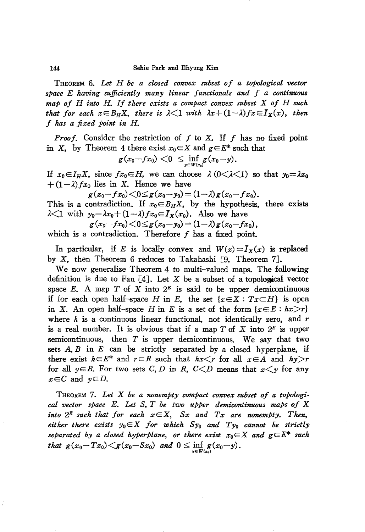THEOREM 6. *Let <sup>H</sup> be <sup>a</sup> closed convex subset of <sup>a</sup> topological vector spau E having sufficiently many linear functionals and f a continuous map of <sup>H</sup> into H. If there exists <sup>a</sup> compact convex subset* <sup>X</sup> *of <sup>H</sup> such that* for each  $x \in B_HX$ , there is  $\lambda \leq 1$  with  $\lambda x + (1 - \lambda)fx \in I_X(x)$ , then *f has a fixed point in H.*

*Proof.* Consider the restriction of  $f$  to  $X$ . If  $f$  has no fixed point in X, by Theorem 4 there exist  $x_0 \in X$  and  $g \in E^*$  such that

$$
g(x_0-fx_0)<0\ \leq \inf_{y\in W(x_0)}\!\!g(x_0\!-\!y).
$$

If  $x_0 \in I_H X$ , since  $fx_0 \in H$ , we can choose  $\lambda$  ( $0 \leq \lambda \leq 1$ ) so that  $y_0 = \lambda x_0$  $+(1-\lambda)fx_0$  lies in X. Hence we have

$$
g(x_0-fx_0)<0\leq g(x_0-y_0)=(1-\lambda)g(x_0-fx_0).
$$

This is a contradiction. If  $x_0 \in B_H X$ , by the hypothesis, there exists  $\lambda$   $\leq$ 1 with  $y_0 = \lambda x_0 + (1 - \lambda) f x_0 \in I_X(x_0)$ . Also we have

$$
g(x_0-fx_0)\!<\!0\!\leq\! g(x_0\!-\!y_0)\!=\!(1\!-\!\lambda)g(x_0\!-\!fx_0),
$$

which is a contradiction. Therefore  $f$  has a fixed point.

In particular, if *E* is locally convex and  $W(x) = I_x(x)$  is replaced by X, then Theorem 6 reduces to Takahashi [9, Theorem 7J.

We now generalize Theorem 4 to multi-valued maps. The following definition is due to Fan  $[4]$ . Let X be a subset of a topological vector space E. A map  $T$  of  $X$  into  $2^E$  is said to be upper demicontinuous if for each open half-space *H* in *E*, the set  $\{x \in X : Tx \subset H\}$  is open in *X*. An open half-space *H* in *E* is a set of the form  $\{x \in E : hx > r\}$ where *h* is a continuous linear functional, not identically zero, and *r* is a real number. It is obvious that if a map  $T$  of  $X$  into  $2^E$  is upper semicontinuous, then  $T$  is upper demicontinuous. We say that two sets  $A, B$  in  $E$  can be strictly separated by a closed hyperplane, if there exist  $h \in E^*$  and  $r \in R$  such that  $hx \leq r$  for all  $x \in A$  and  $hy > r$ for all  $y \in B$ . For two sets C, D in R,  $C \le D$  means that  $x \le y$  for any  $x \in C$  and  $y \in D$ .

THEOREM 7. *Let* X *be a nonempty compact convex subset of a topological vector space E. Let* S, *T be two upper demicontinuous maps of* X *into*  $2^E$  *such that for each*  $x \in X$ , *Sx and*  $Tx$  *are nonempty.* Then, *either there exists*  $y_0 \in X$  *for which*  $Sy_0$  *and*  $Ty_0$  *cannot be strictly separated by a closed hyperplane*, *or there exist*  $x_0 \in X$  *and*  $g \in E^*$  *such that*  $g(x_0-Tx_0) < g(x_0-Sx_0)$  *and*  $0 \le \inf_{y \in W(x_0)} g(x_0-y)$ .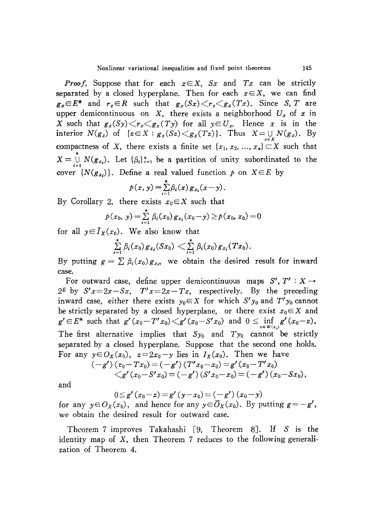*Proof.* Suppose that for each *xEX, Sx* and *Tx* can be strictly separated by a closed hyperplane. Then for each  $x \in X$ , we can find  $g_x \in E^*$  and  $r_x \in R$  such that  $g_x(Sx) \le r_x \le g_x(Tx)$ . Since *S*, *T* are upper demicontinuous on X, there exists a neighborhood  $U_x$  of  $x$  in X such that  $g_x(Sy) \le r_x \le g_x(Ty)$  for all  $y \in U_x$ . Hence x is in the interior  $N(g_x)$  of  $\{z \in X : g_x(Sz) \leq g_x(Tz)\}\)$ . Thus  $X = \bigcup_{x \in X} N(g_x)$ . By compactness of X, there exists a finite set  $\{x_1, x_2, ..., x_n\} \subset X$  such that  $X = \bigcup_{i=1}^{n} N(g_{x_i})$ . Let  $\{\beta_i\}_{i=1}^n$  be a partition of unity subordinated to the cover  $\{N(g_{x_i})\}$ . Define a real valued function  $p$  on  $X \in E$  by

$$
p(x, y) = \sum_{i=1}^{n} \beta_i(x) g_{x_i}(x - y).
$$

By Corollary 2, there exists  $x_0 \in X$  such that

$$
p(x_0, y) = \sum_{i=1}^{n} \beta_i(x_0) g_{x_i}(x_0 - y) \geq p(x_0, x_0) = 0
$$

for all  $y \in I_X(x_0)$ . We also know that

$$
\sum_{i=1}^n \beta_i(x_0) g_{x_i}(Sx_0) < \sum_{i=1}^n \beta_i(x_0) g_{x_i}(Tx_0).
$$

By putting  $g = \sum \beta_i(x_0)g_{x_i}$ , we obtain the desired result for inward case.

For outward case, define upper demicontinuous maps  $S', T' : X \rightarrow$  $2^E$  by  $S'x=2x-Sx$ ,  $T'x=2x-Tx$ , respectively. By the preceding inward case, either there exists  $y_0 \in X$  for which  $S' y_0$  and  $T' y_0$  cannot be strictly separated by a closed hyperplane, or there exist  $x_0 \in X$  and  $g' \in E^*$  such that  $g'(x_0-T'x_0) < g'(x_0-S'x_0)$  and  $0 \le \inf_{x \in W(x_0)} g'(x_0-z)$ . The first alternative implies that  $S_{y_0}$  and  $Ty_0$  cannot be strictly separated by a closed hyperplane. Suppose that the second one holds. For any  $y \in O_X(x_0)$ ,  $z=2x_0-y$  lies in  $I_X(x_0)$ . Then we have

$$
\begin{aligned} &(-g')\,(x_0\!-\!Tx_0) = (-g')\,(T'x_0\!-\!x_0) = g'\,(x_0\!-\!T'x_0) \\ &\leq g'\,(x_0\!-\!S'x_0) = (-g')\,(S'x_0\!-\!x_0) = (-g')\,(x_0\!-\!Sx_0), \end{aligned}
$$

and

 $0 \leq g'(x_0-z) = g'(y-x_0) = (-g')(x_0-y)$ 

for any  $y \in O_X(x_0)$ , and hence for any  $y \in \overline{O}_X(x_0)$ . By putting  $g = -g'$ , we obtain the desired result for outward case.

Theorem 7 improves Takahashi [9, Theorem 8]. If *S* is the identity map of X, then Theorem 7 reduces to the following generalization of Theorem 4.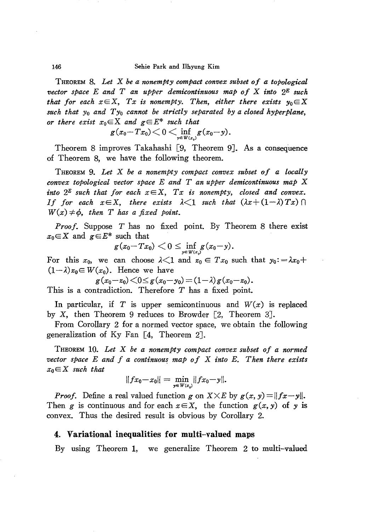THEOREM 8. *Let* X *be a nonempty compact convex subset of a topological vector space E and T an upper demicontinuous map of* X *into 2*<sup>E</sup> *such that* for each  $x \in X$ ,  $Tx$  is nonempty. Then, either there exists  $y_0 \in X$ *such that Yo and Tyo cannot be strictly separated by a closed hyperplane, or* there exist  $x_0 \in X$  and  $g \in E^*$  such that

$$
g(x_0\!-\!Tx_0)\!<0\!<\!\inf_{y\in W(x_0)}\!g(x_0\!-\!y).
$$

Theorem 8 improves Takahashi [9, Theorem 9J. As a consequence of Theorem 8, we have the following theorem.

THEOREM 9. *Let* X *be a nonempty compact convex subset of a locally convex topological vector space E and T an upper demicontinuous map* X *into*  $2^E$  *such that for each*  $x \in X$ ,  $Tx$  *is nonempty, closed and convex. If* for each  $x \in X$ , there exists  $\lambda \leq 1$  such that  $(\lambda x + (1 - \lambda) T x) \cap$  $W(x) \neq \phi$ , *then T has a fixed point.* 

*Proof.* Suppose *T* has no fixed point. By Theorem 8 there exist  $x_0 \in X$  and  $g \in E^*$  such that

$$
g(x_0\!-\!Tx_0)\!{\begin{array}{c}<\\[-10pt]\scriptstyle{\frown}\end{array}}\! 0\leq\!\inf_{y\in W(x_q)}\!\!g(x_0\!-\!y).
$$

For this  $x_0$ , we can choose  $\lambda \leq 1$  and  $z_0 \in Tx_0$  such that  $y_0 := \lambda x_0 +$  $(1-\lambda)z_0 \in W(x_0)$ . Hence we have

$$
g(x_0-x_0)<0\leq g(x_0-y_0)=(1-\lambda)g(x_0-z_0).
$$

This is a contradiction. Therefore *T* has a fixed point.

In particular, if  $T$  is upper semicontinuous and  $W(x)$  is replaced by X, then Theorem 9 reduces to Browder [2, Theorem 3].

From Corollary 2 for a normed vector space, we obtain the following generalization of Ky Fan [4, Theorem 2].

THEOREM 10. *Let* X *be a nonempty compact convex subset of a normed vector space*  $E$  *and*  $f$  *a continuous map*  $of$   $X$  *into*  $E$ *. Then there exists*  $x_0 \in X$  *such that* 

$$
||fx_0-x_0||=\min_{y\in W(x_0)}||fx_0-y||.
$$

*Proof.* Define a real valued function *g* on  $X \times E$  by  $g(x, y) = ||fx - y||$ . Then *g* is continuous and for each  $x \in X$ , the function  $g(x, y)$  of *y* is convex. Thus the desired result is obvious by Corollary 2.

#### **4:. Variational inequalities for multi-valued maps**

By using Theorem 1, we generalize Theorem 2 to multi-valued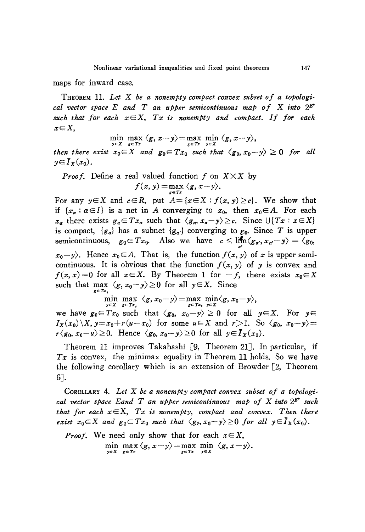maps for inward case.

THEOREM 11. *Let* X *be <sup>a</sup> nonempty compact convex subset of <sup>a</sup> topological* vector space E and T an upper semicontinuous map of X into  $2^{E^*}$ *such that for each xEX, Tx is nonempty and compact. If for each xEX,*

$$
\min_{x \in \mathcal{X}} \max_{x} \langle g, x - y \rangle = \max_{x \in \mathcal{X}} \min_{x} \langle g, x - y \rangle,
$$

 $\min_{y \in X} \max_{g \in Tx} \langle g, x-y \rangle = \max_{g \in Tx} \min_{y \in X} \langle g, x-y \rangle,$ <br>then there exist  $x_0 \in X$  and  $g_0 \in Tx_0$  such that  $\langle g_0, x_0-y \rangle \ge 0$  for all  $y \in \overline{I}_X(x_0)$ .

*Proof.* Define a real valued function f on 
$$
X \times X
$$
 by  $f(x, y) = \max_{g \in Tx} \langle g, x - y \rangle$ .

For any  $y \in X$  and  $c \in R$ , put  $A = \{x \in X : f(x, y) \ge c\}$ . We show that if  $\{x_a : \alpha \in I\}$  is a net in *A* converging to  $x_0$ , then  $x_0 \in A$ . For each *x<sub>a</sub>* there exists  $g_a \in Tx_a$  such that  $\langle g_a, x_a - y \rangle \geq c$ . Since  $\bigcup \{Tx : x \in X\}$ is compact,  ${g_a}$  has a subnet  ${g_a}$  converging to  $g_0$ . Since *T* is upper semicontinuous,  $g_0 \in Tx_0$ . Also we have  $c \leq \lim_{\alpha \to \infty} \langle g_{\alpha}, x_{\alpha'}-y \rangle = \langle g_0,$  $x_0-y$ . Hence  $x_0 \in A$ . That is, the function  $f(x, y)$  of *x* is upper semicontinuous. It is obvious that the function  $f(x, y)$  of y is convex and  $f(x, x) = 0$  for all  $x \in X$ . By Theorem 1 for  $-f$ , there exists  $x_0 \in X$ such that  $\max_{g \in Tx_s} \langle g, x_0 - y \rangle \ge 0$  for all  $y \in X$ . Since

$$
\min_{y\in X}\max_{g\in Tx_s}\langle g,x_0-y\rangle=\max_{g\in Tx_s}\min_{y\in X}\langle g,x_0-y\rangle,
$$

we have  $g_0 \in Tx_0$  such that  $\langle g_0, x_0-y \rangle \ge 0$  for all  $y \in X$ . For  $y \in$  $I_X(x_0)\ X, y=x_0+r(u-x_0)$  for some  $u\in X$  and  $r>1$ . So  $\langle g_0, x_0-y\rangle=$  $r\langle g_0, x_0-u\rangle \geq 0$ . Hence  $\langle g_0, x_0-y\rangle \geq 0$  for all  $y \in \overline{I}_X(x_0)$ .

Theorem 11 improves Takahashi [9, Theorem 21J. In particular, if *Tx* is convex, the minimax equality in Theorem 11 holds. So we have the following corollary which is an extension of Browder [2, Theorem 6J.

COROLLARY 4. *Let* X *be a nonempty compact convex subset of a topological vector space Eand T an upper semicontinuous map of* X *into* 2£'\* *such that* for each  $x \in X$ ,  $Tx$  *is nonempty, compact and convex. Then there exist*  $x_0 \in X$  *and*  $g_0 \in Tx_0$  *such that*  $\langle g_0, x_0-y \rangle \ge 0$  *for all*  $y \in \overline{I}_X(x_0)$ .

*Proof.* We need only show that for each 
$$
x \in X
$$
,  
\n
$$
\min_{y \in X} \max_{g \in Tx} \langle g, x - y \rangle = \max_{g \in Tx} \min_{y \in X} \langle g, x - y \rangle.
$$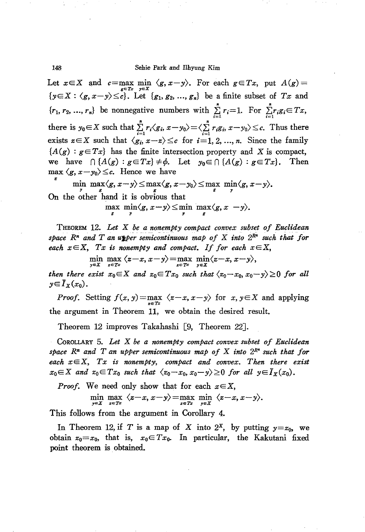148 Sehie Park and Ilhyung Kim

Let  $x \in X$  and  $c = \max_{g \in T_x} \min_{y \in X} \langle g, x - y \rangle$ . For each  $g \in Tx$ , put  $A(g) =$  $\{y \in X : \langle g, x-y \rangle \leq c\}$ . Let  $\{g_1, g_2, ..., g_n\}$  be a finite subset of *Tx* and  ${r_1, r_2, ..., r_n}$  be nonnegative numbers with  $\sum r_i=1$ . For  $\sum r_i g_i \in Tx$ , there is  $y_0 \in X$  such that  $\sum_{i=1}^n r_i \langle g_i, x-y_0 \rangle = \langle \sum_{i=1}^n r_i g_i, x-y_0 \rangle \leq c$ . Thus there exists  $z \in X$  such that  $\langle g_i, x - z \rangle \leq c$  for  $i = 1, 2, ..., n$ . Since the family  ${A(g) : g \in Tx}$  has the finite intersection property and X is compact, we have  $\bigcap$   $\{A(g) : g \in Tx\} \neq \emptyset$ . Let  $y_0 \in \bigcap$   $\{A(g) : g \in Tx\}$ . Then  $\max \langle g, x-y_0 \rangle \leq c$ . Hence we have

 $\min_{y} \max_{s} \langle g, x-y \rangle \leq \max_{s} \langle g, x-y_0 \rangle \leq \max_{s} \min_{s} \langle g, x-y \rangle.$ On the other hand it is obvious that

 $\max_{g} \min_{y} \langle g, x-y \rangle \leq \min_{g} \max_{g} \langle g, x-y \rangle.$ 

THEOREM 12. *Let* X *be a nonempty compact convex subset of Euclidean space*  $R^n$  *and*  $T$  *an u*<sub></sub> *u*<sub>*l*</sub> *emicontinuous map of*  $X$  *into*  $2^{R^n}$  *such that for each*  $x \in X$ ,  $Tx$  *is nonempty and compact.* If for *each*  $x \in X$ ,

$$
\min_{y\in X}\max_{x\in Tx}\langle x-x,x-y\rangle=\max_{x\in Tx}\min_{y\in X}\langle x-x,x-y\rangle,
$$

*then there exist*  $x_0 \in X$  *and*  $z_0 \in Tx_0$  *such that*  $\langle z_0 - x_0, x_0 - y \rangle \ge 0$  *for all*  $y \in \overline{I}_X(x_0)$ .

*Proof.* Setting  $f(x, y) = \max_{x \in Tx} \langle z-x, x-y \rangle$  for  $x, y \in X$  and applying the argument in Theorem 11, we obtain the desired result.

Theorem 12 improves Takahashi [9, Theorem 22J.

CoROLLARY 5. *Let* X *be a nonemPty compact convex subset of Euclidean space Rn and T an upper semicontinuous map of* X *into 2R" such that for each xEX, Tx is nonempty, compact and convex. Then there exist*  $x_0 \in X$  and  $x_0 \in Tx_0$  such that  $\langle x_0-x_0, x_0-y \rangle \ge 0$  for all  $y \in \overline{I}_X(x_0)$ .

*Proof.* We need only show that for each  $x \in X$ ,

$$
\min_{y\in X} \max_{z\in Tx} \langle z-x, x-y\rangle = \max_{z\in Tx} \min_{y\in X} \langle z-x, x-y\rangle.
$$

This follows from the argument in Corollary 4.

In Theorem 12, if *T* is a map of *X* into  $2^x$ , by putting  $y=x_0$ , we obtain  $z_0 = x_0$ , that is,  $x_0 \in Tx_0$ . In particular, the Kakutani fixed point theorem is obtained.